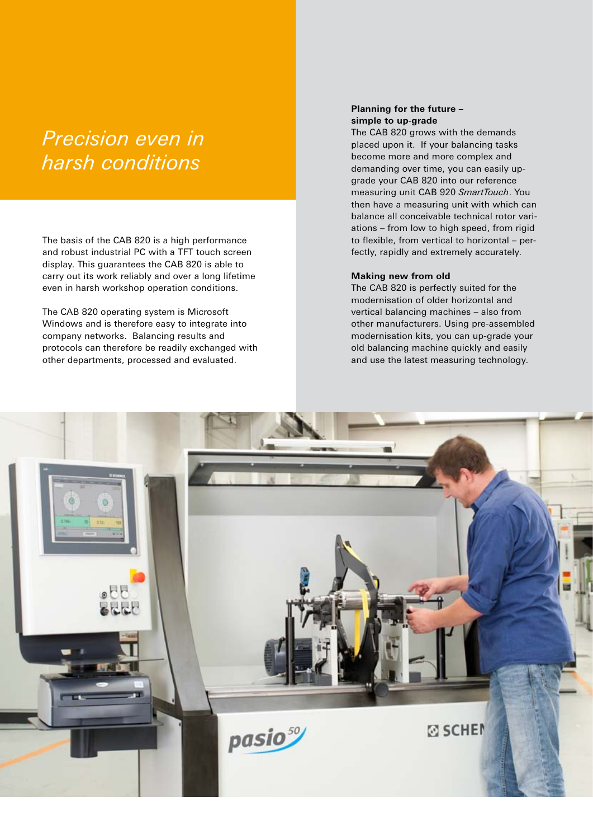# *Precision even in harsh conditions*

The basis of the CAB 820 is a high performance and robust industrial PC with a TFT touch screen display. This guarantees the CAB 820 is able to carry out its work reliably and over a long lifetime even in harsh workshop operation conditions.

The CAB 820 operating system is Microsoft Windows and is therefore easy to integrate into company networks. Balancing results and protocols can therefore be readily exchanged with other departments, processed and evaluated.

# **Planning for the future – simple to up-grade**

The CAB 820 grows with the demands placed upon it. If your balancing tasks become more and more complex and demanding over time, you can easily upgrade your CAB 820 into our reference measuring unit CAB 920 *SmartTouch*. You then have a measuring unit with which can balance all conceivable technical rotor variations – from low to high speed, from rigid to flexible, from vertical to horizontal – perfectly, rapidly and extremely accurately.

#### **Making new from old**

The CAB 820 is perfectly suited for the modernisation of older horizontal and vertical balancing machines – also from other manufacturers. Using pre-assembled modernisation kits, you can up-grade your old balancing machine quickly and easily and use the latest measuring technology.

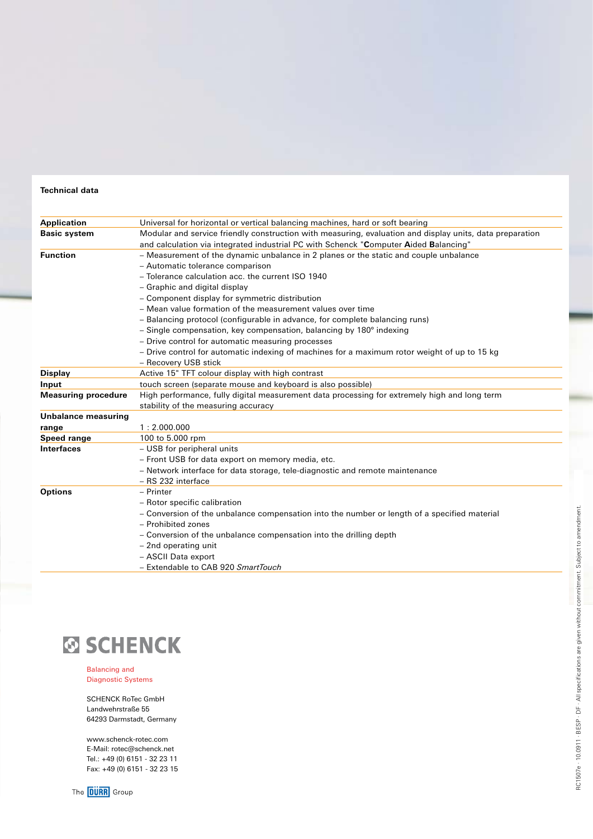# **Technical data**

| <b>Application</b>         | Universal for horizontal or vertical balancing machines, hard or soft bearing                            |
|----------------------------|----------------------------------------------------------------------------------------------------------|
| <b>Basic system</b>        | Modular and service friendly construction with measuring, evaluation and display units, data preparation |
|                            | and calculation via integrated industrial PC with Schenck "Computer Aided Balancing"                     |
| <b>Function</b>            | - Measurement of the dynamic unbalance in 2 planes or the static and couple unbalance                    |
|                            | - Automatic tolerance comparison                                                                         |
|                            | - Tolerance calculation acc. the current ISO 1940                                                        |
|                            | - Graphic and digital display                                                                            |
|                            | - Component display for symmetric distribution                                                           |
|                            | - Mean value formation of the measurement values over time                                               |
|                            | - Balancing protocol (configurable in advance, for complete balancing runs)                              |
|                            | $-$ Single compensation, key compensation, balancing by 180 $\degree$ indexing                           |
|                            | - Drive control for automatic measuring processes                                                        |
|                            | - Drive control for automatic indexing of machines for a maximum rotor weight of up to 15 kg             |
|                            | - Recovery USB stick                                                                                     |
| <b>Display</b>             | Active 15" TFT colour display with high contrast                                                         |
| Input                      | touch screen (separate mouse and keyboard is also possible)                                              |
| <b>Measuring procedure</b> | High performance, fully digital measurement data processing for extremely high and long term             |
|                            | stability of the measuring accuracy                                                                      |
| Unbalance measuring        |                                                                                                          |
| range                      | 1:2.000.000                                                                                              |
| Speed range                | 100 to 5.000 rpm                                                                                         |
| <b>Interfaces</b>          | - USB for peripheral units                                                                               |
|                            | - Front USB for data export on memory media, etc.                                                        |
|                            | - Network interface for data storage, tele-diagnostic and remote maintenance                             |
|                            | - RS 232 interface                                                                                       |
| <b>Options</b>             | - Printer                                                                                                |
|                            | - Rotor specific calibration                                                                             |
|                            | - Conversion of the unbalance compensation into the number or length of a specified material             |
|                            | - Prohibited zones                                                                                       |
|                            | - Conversion of the unbalance compensation into the drilling depth                                       |
|                            | - 2nd operating unit                                                                                     |
|                            | - ASCII Data export                                                                                      |
|                            | - Extendable to CAB 920 SmartTouch                                                                       |



Balancing and Diagnostic Systems

SCHENCK RoTec GmbH Landwehrstraße 55 64293 Darmstadt, Germany

www.schenck-rotec.com E-Mail: rotec@schenck.net Tel.: +49 (0) 6151 - 32 23 11 Fax: +49 (0) 6151 - 32 23 15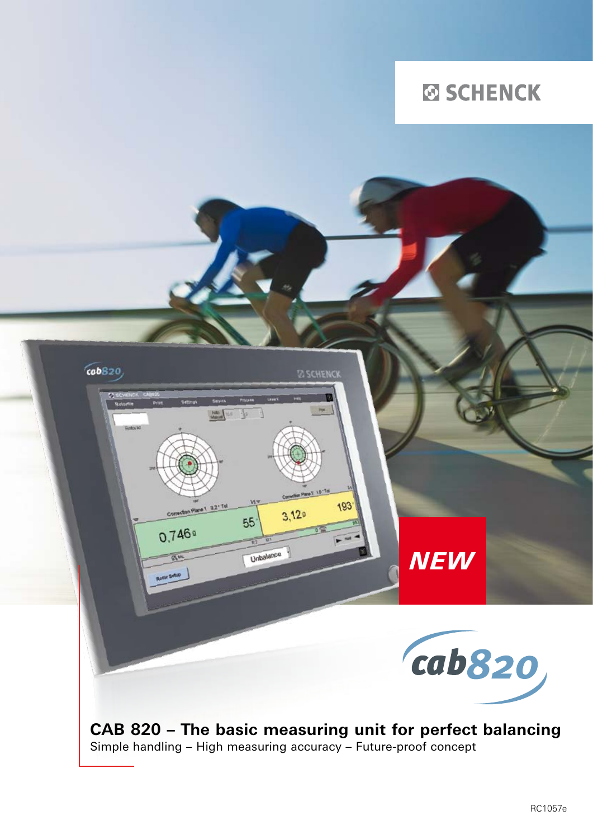

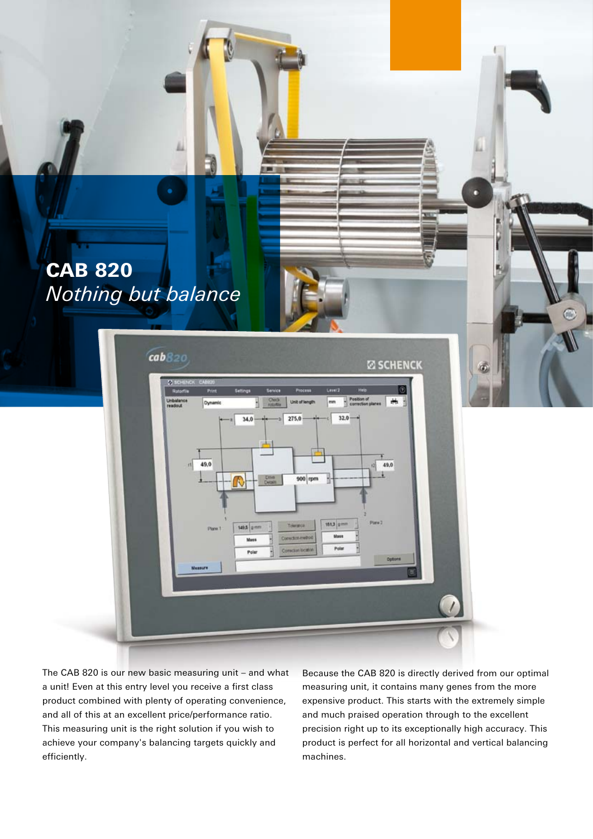# CAB 820 *Nothing but balance*



The CAB 820 is our new basic measuring unit – and what a unit! Even at this entry level you receive a first class product combined with plenty of operating convenience, and all of this at an excellent price/performance ratio. This measuring unit is the right solution if you wish to achieve your company's balancing targets quickly and efficiently.

Because the CAB 820 is directly derived from our optimal measuring unit, it contains many genes from the more expensive product. This starts with the extremely simple and much praised operation through to the excellent precision right up to its exceptionally high accuracy. This product is perfect for all horizontal and vertical balancing machines.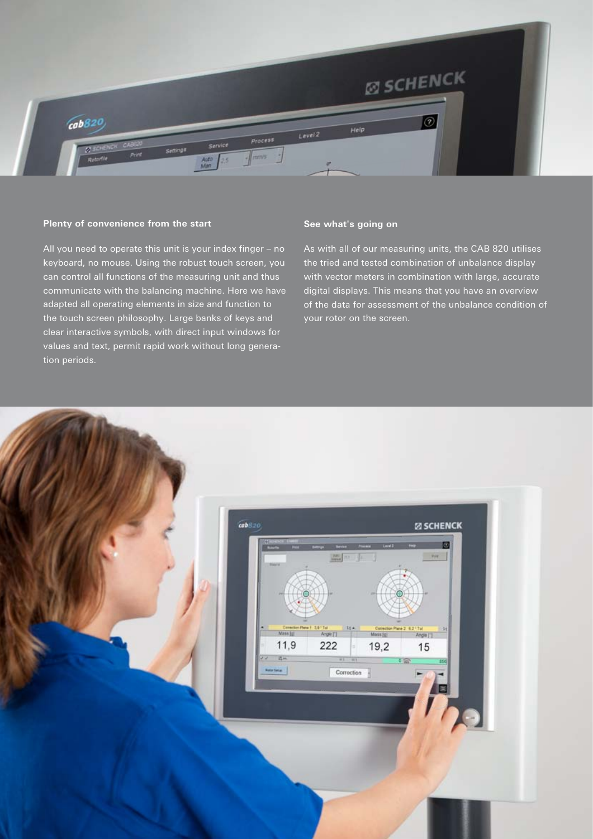

## **Plenty of convenience from the start**

All you need to operate this unit is your index finger – no keyboard, no mouse. Using the robust touch screen, you can control all functions of the measuring unit and thus communicate with the balancing machine. Here we have adapted all operating elements in size and function to the touch screen philosophy. Large banks of keys and clear interactive symbols, with direct input windows for values and text, permit rapid work without long generation periods.

## **See what's going on**

As with all of our measuring units, the CAB 820 utilises the tried and tested combination of unbalance display with vector meters in combination with large, accurate digital displays. This means that you have an overview of the data for assessment of the unbalance condition of your rotor on the screen.